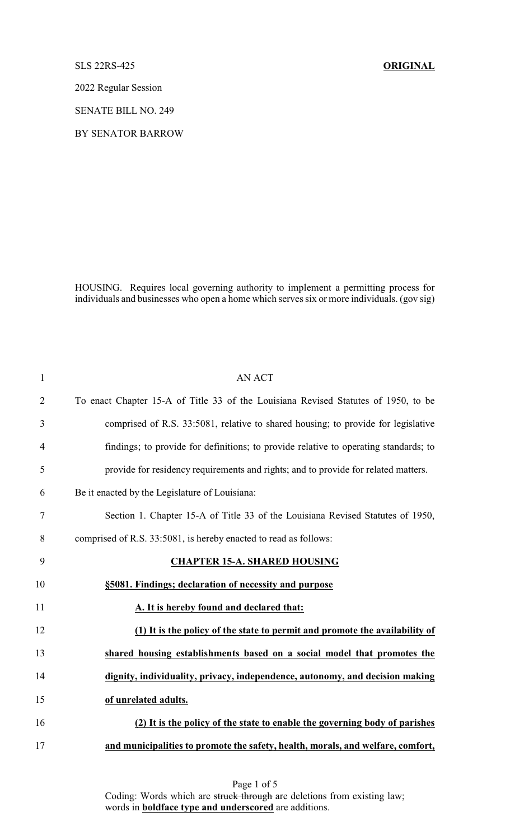## SLS 22RS-425 **ORIGINAL**

2022 Regular Session

SENATE BILL NO. 249

BY SENATOR BARROW

HOUSING. Requires local governing authority to implement a permitting process for individuals and businesses who open a home which serves six or more individuals. (gov sig)

| 1              | <b>AN ACT</b>                                                                        |
|----------------|--------------------------------------------------------------------------------------|
| $\overline{2}$ | To enact Chapter 15-A of Title 33 of the Louisiana Revised Statutes of 1950, to be   |
| 3              | comprised of R.S. 33:5081, relative to shared housing; to provide for legislative    |
| $\overline{4}$ | findings; to provide for definitions; to provide relative to operating standards; to |
| 5              | provide for residency requirements and rights; and to provide for related matters.   |
| 6              | Be it enacted by the Legislature of Louisiana:                                       |
| 7              | Section 1. Chapter 15-A of Title 33 of the Louisiana Revised Statutes of 1950,       |
| 8              | comprised of R.S. 33:5081, is hereby enacted to read as follows:                     |
| 9              | <b>CHAPTER 15-A. SHARED HOUSING</b>                                                  |
| 10             | §5081. Findings; declaration of necessity and purpose                                |
| 11             | A. It is hereby found and declared that:                                             |
| 12             | (1) It is the policy of the state to permit and promote the availability of          |
| 13             | shared housing establishments based on a social model that promotes the              |
| 14             | dignity, individuality, privacy, independence, autonomy, and decision making         |
| 15             | of unrelated adults.                                                                 |
| 16             | (2) It is the policy of the state to enable the governing body of parishes           |
| 17             | and municipalities to promote the safety, health, morals, and welfare, comfort,      |

Page 1 of 5 Coding: Words which are struck through are deletions from existing law; words in **boldface type and underscored** are additions.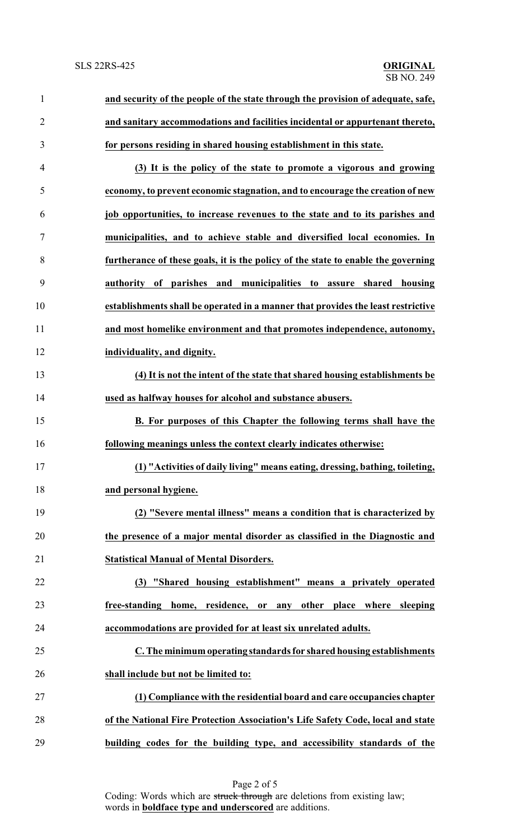| $\mathbf{1}$   | and security of the people of the state through the provision of adequate, safe,  |
|----------------|-----------------------------------------------------------------------------------|
| $\overline{2}$ | and sanitary accommodations and facilities incidental or appurtenant thereto,     |
| $\mathfrak{Z}$ | for persons residing in shared housing establishment in this state.               |
| 4              | (3) It is the policy of the state to promote a vigorous and growing               |
| 5              | economy, to prevent economic stagnation, and to encourage the creation of new     |
| 6              | job opportunities, to increase revenues to the state and to its parishes and      |
| 7              | municipalities, and to achieve stable and diversified local economies. In         |
| 8              | furtherance of these goals, it is the policy of the state to enable the governing |
| 9              | authority of parishes and municipalities to<br>assure shared<br>housing           |
| 10             | establishments shall be operated in a manner that provides the least restrictive  |
| 11             | and most homelike environment and that promotes independence, autonomy,           |
| 12             | individuality, and dignity.                                                       |
| 13             | (4) It is not the intent of the state that shared housing establishments be       |
| 14             | used as halfway houses for alcohol and substance abusers.                         |
| 15             | B. For purposes of this Chapter the following terms shall have the                |
| 16             | following meanings unless the context clearly indicates otherwise:                |
| 17             | (1) "Activities of daily living" means eating, dressing, bathing, toileting,      |
| 18             | and personal hygiene.                                                             |
| 19             | (2) "Severe mental illness" means a condition that is characterized by            |
| 20             | the presence of a major mental disorder as classified in the Diagnostic and       |
| 21             | <b>Statistical Manual of Mental Disorders.</b>                                    |
| 22             | (3) "Shared housing establishment" means a privately operated                     |
| 23             | free-standing home, residence, or any other place where sleeping                  |
| 24             | accommodations are provided for at least six unrelated adults.                    |
| 25             | C. The minimum operating standards for shared housing establishments              |
| 26             | shall include but not be limited to:                                              |
| 27             | (1) Compliance with the residential board and care occupancies chapter            |
| 28             | of the National Fire Protection Association's Life Safety Code, local and state   |
| 29             | building codes for the building type, and accessibility standards of the          |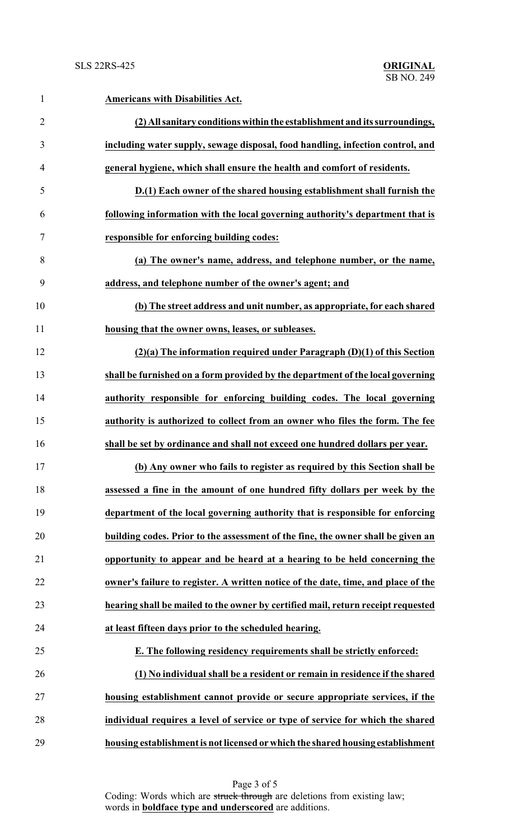| $\mathbf{1}$   | <b>Americans with Disabilities Act.</b>                                           |
|----------------|-----------------------------------------------------------------------------------|
| $\overline{2}$ | (2) All sanitary conditions within the establishment and its surroundings,        |
| 3              | including water supply, sewage disposal, food handling, infection control, and    |
| $\overline{4}$ | general hygiene, which shall ensure the health and comfort of residents.          |
| 5              | D.(1) Each owner of the shared housing establishment shall furnish the            |
| 6              | following information with the local governing authority's department that is     |
| 7              | responsible for enforcing building codes:                                         |
| 8              | (a) The owner's name, address, and telephone number, or the name,                 |
| 9              | address, and telephone number of the owner's agent; and                           |
| 10             | (b) The street address and unit number, as appropriate, for each shared           |
| 11             | housing that the owner owns, leases, or subleases.                                |
| 12             | $(2)(a)$ The information required under Paragraph $(D)(1)$ of this Section        |
| 13             | shall be furnished on a form provided by the department of the local governing    |
| 14             | authority responsible for enforcing building codes. The local governing           |
| 15             | authority is authorized to collect from an owner who files the form. The fee      |
| 16             | shall be set by ordinance and shall not exceed one hundred dollars per year.      |
| 17             | (b) Any owner who fails to register as required by this Section shall be          |
| 18             | assessed a fine in the amount of one hundred fifty dollars per week by the        |
| 19             | department of the local governing authority that is responsible for enforcing     |
| 20             | building codes. Prior to the assessment of the fine, the owner shall be given an  |
| 21             | opportunity to appear and be heard at a hearing to be held concerning the         |
| 22             | owner's failure to register. A written notice of the date, time, and place of the |
| 23             | hearing shall be mailed to the owner by certified mail, return receipt requested  |
| 24             | at least fifteen days prior to the scheduled hearing.                             |
| 25             | E. The following residency requirements shall be strictly enforced:               |
| 26             | (1) No individual shall be a resident or remain in residence if the shared        |
| 27             | housing establishment cannot provide or secure appropriate services, if the       |
| 28             | individual requires a level of service or type of service for which the shared    |
| 29             | housing establishment is not licensed or which the shared housing establishment   |

Page 3 of 5 Coding: Words which are struck through are deletions from existing law; words in **boldface type and underscored** are additions.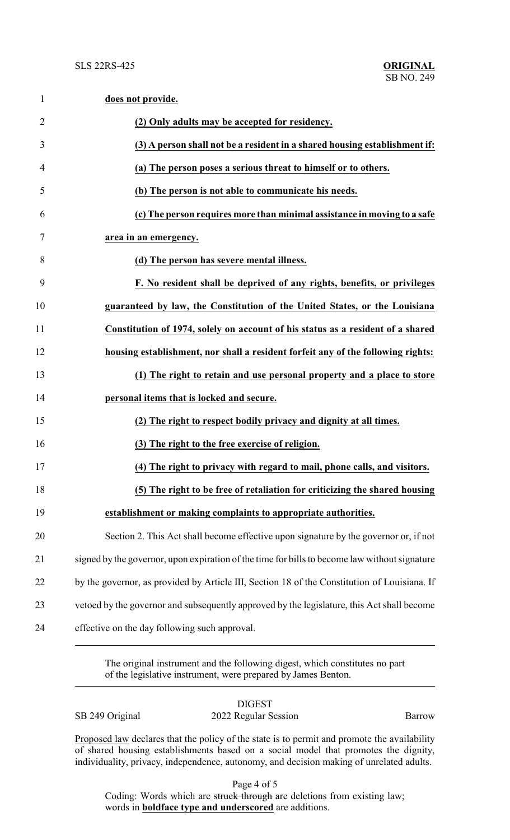| $\mathbf{1}$   | does not provide.                                                                             |
|----------------|-----------------------------------------------------------------------------------------------|
| $\overline{2}$ | (2) Only adults may be accepted for residency.                                                |
| 3              | (3) A person shall not be a resident in a shared housing establishment if:                    |
| 4              | (a) The person poses a serious threat to himself or to others.                                |
| 5              | (b) The person is not able to communicate his needs.                                          |
| 6              | (c) The person requires more than minimal assistance in moving to a safe                      |
| 7              | area in an emergency.                                                                         |
| 8              | (d) The person has severe mental illness.                                                     |
| 9              | F. No resident shall be deprived of any rights, benefits, or privileges                       |
| 10             | guaranteed by law, the Constitution of the United States, or the Louisiana                    |
| 11             | Constitution of 1974, solely on account of his status as a resident of a shared               |
| 12             | housing establishment, nor shall a resident forfeit any of the following rights:              |
| 13             | (1) The right to retain and use personal property and a place to store                        |
| 14             | personal items that is locked and secure.                                                     |
| 15             | (2) The right to respect bodily privacy and dignity at all times.                             |
| 16             | (3) The right to the free exercise of religion.                                               |
| 17             | (4) The right to privacy with regard to mail, phone calls, and visitors.                      |
| 18             | (5) The right to be free of retaliation for criticizing the shared housing                    |
| 19             | establishment or making complaints to appropriate authorities.                                |
| 20             | Section 2. This Act shall become effective upon signature by the governor or, if not          |
| 21             | signed by the governor, upon expiration of the time for bills to become law without signature |
| 22             | by the governor, as provided by Article III, Section 18 of the Constitution of Louisiana. If  |
| 23             | vetoed by the governor and subsequently approved by the legislature, this Act shall become    |
| 24             | effective on the day following such approval.                                                 |

The original instrument and the following digest, which constitutes no part of the legislative instrument, were prepared by James Benton.

DIGEST

SB 249 Original 2022 Regular Session Barrow

Proposed law declares that the policy of the state is to permit and promote the availability of shared housing establishments based on a social model that promotes the dignity, individuality, privacy, independence, autonomy, and decision making of unrelated adults.

Page 4 of 5

Coding: Words which are struck through are deletions from existing law; words in **boldface type and underscored** are additions.